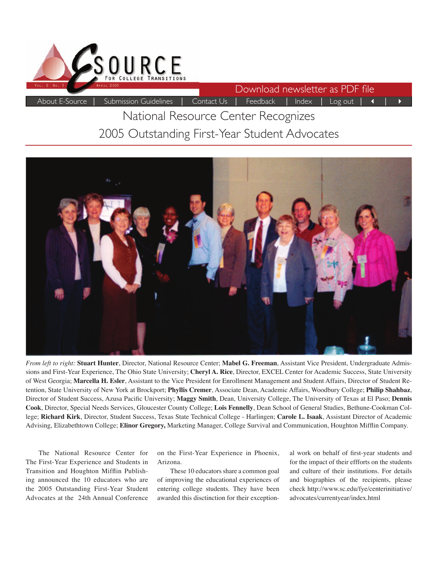

Download newsletter as PDF file

# About E-Source | Submission Guidelines | Contact Us | Feedback | Index | Log out | 4 | National Resource Center Recognizes

# 2005 Outstanding First-Year Student Advocates



*From left to right:* **Stuart Hunter**, Director, National Resource Center; **Mabel G. Freeman**, Assistant Vice President, Undergraduate Admissions and First-Year Experience, The Ohio State University; **Cheryl A. Rice**, Director, EXCEL Center for Academic Success, State University of West Georgia; **Marcella H. Esler**, Assistant to the Vice President for Enrollment Management and Student Affairs, Director of Student Retention, State University of New York at Brockport; **Phyllis Cremer**, Associate Dean, Academic Affairs, Woodbury College; **Philip Shahbaz**, Director of Student Success, Azusa Pacific University; Maggy Smith, Dean, University College, The University of Texas at El Paso; Dennis **Cook**, Director, Special Needs Services, Gloucester County College; **Lois Fennelly**, Dean School of General Studies, Bethune-Cookman College; **Richard Kirk**, Director, Student Success, Texas State Technical College - Harlingen; **Carole L. Isaak**, Assistant Director of Academic Advising, Elizabethtown College; Elinor Gregory, Marketing Manager, College Survival and Communication, Houghton Mifflin Company.

The National Resource Center for The First-Year Experience and Students in Transition and Houghton Mifflin Publishing announced the 10 educators who are the 2005 Outstanding First-Year Student Advocates at the 24th Annual Conference

on the First-Year Experience in Phoenix, Arizona.

These 10 educators share a common goal of improving the educational experiences of entering college students. They have been awarded this disctinction for their exceptional work on behalf of first-year students and for the impact of their effforts on the students and culture of their institutions. For details and biographies of the recipients, please check http://www.sc.edu/fye/centerinitiative/ advocates/currentyear/index.html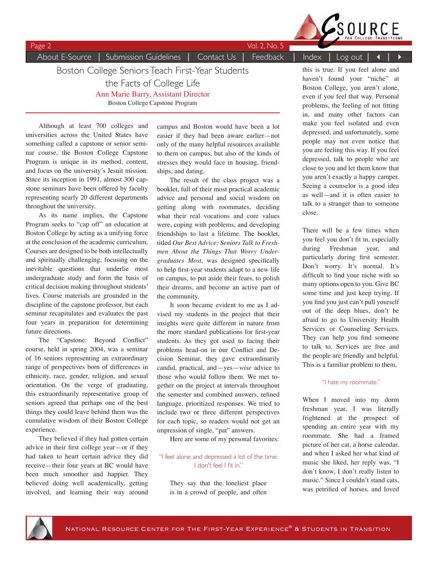

About E-Source | Submission Guidelines | Contact Us | Feedback | Index | Log out | 4 | ▶

Page 2 Vol. 2, No. 5

Boston College Seniors Teach First-Year Students

the Facts of College Life

Ann Marie Barry, Assistant Director

Boston College Capstone Program

Although at least 700 colleges and universities across the United States have something called a capstone or senior seminar course, the Boston College Capstone Program is unique in its method, content, and focus on the university's Jesuit mission. Since its inception in 1991, almost 300 capstone seminars have been offered by faculty representing nearly 20 different departments throughout the university.

As its name implies, the Capstone Program seeks to "cap off" an education at Boston College by acting as a unifying force at the conclusion of the academic curriculum. Courses are designed to be both intellectually and spiritually challenging, focusing on the inevitable questions that underlie most undergraduate study and form the basis of critical decision making throughout students' lives. Course materials are grounded in the discipline of the capstone professor, but each seminar recapitulates and evaluates the past four years in preparation for determining future directions.

The "Capstone: Beyond Conflict" course, held in spring 2004, was a seminar of 16 seniors representing an extraordinary range of perspectives born of differences in ethnicity, race, gender, religion, and sexual orientation. On the verge of graduating, this extraordinarily representative group of seniors agreed that perhaps one of the best things they could leave behind them was the cumulative wisdom of their Boston College experience.

They believed if they had gotten certain advice in their first college year—or if they had taken to heart certain advice they did receive—their four years at BC would have been much smoother and happier. They believed doing well academically, getting involved, and learning their way around campus and Boston would have been a lot easier if they had been aware earlier—not only of the many helpful resources available to them on campus, but also of the kinds of stresses they would face in housing, friendships, and dating.

The result of the class project was a booklet, full of their most practical academic advice and personal and social wisdom on getting along with roommates, deciding what their real vocations and core values were, coping with problems, and developing friendships to last a lifetime. The booklet, titled *Our Best Advice: Seniors Talk to Freshmen About the Things That Worry Undergraduates Most*, was designed specifically to help first-year students adapt to a new life on campus, to put aside their fears, to polish their dreams, and become an active part of the community.

It soon became evident to me as I advised my students in the project that their insights were quite different in nature from the more standard publications for first-year students. As they got used to facing their problems head-on in our Conflict and Decision Seminar, they gave extraordinarily candid, practical, and—yes—*wise* advice to those who would follow them. We met together on the project at intervals throughout the semester and combined answers, refined language, prioritized responses. We tried to include two or three different perspectives for each topic, so readers would not get an impression of single, "pat" answers.

Here are some of my personal favorites:

#### "I feel alone and depressed a lot of the time. I don't feel I fit in."

They say that the loneliest place is in a crowd of people, and often

this is true. If you feel alone and haven't found your "niche" at Boston College, you aren't alone, even if you feel that way. Personal problems, the feeling of not fitting in, and many other factors can make you feel isolated and even depressed, and unfortunately, some people may not even notice that you are feeling this way. If you feel depressed, talk to people who are close to you and let them know that you aren't exactly a happy camper. Seeing a counselor is a good idea as well—and it is often easier to talk to a stranger than to someone close.

There will be a few times when you feel you don't fit in, especially during Freshman year, and particularly during first semester. Don't worry. It's normal. It's difficult to find your niche with so many options open to you. Give BC some time and just keep trying. If you find you just can't pull yourself out of the deep blues, don't be afraid to go to University Health Services or Counseling Services. They can help you find someone to talk to. Services are free and the people are friendly and helpful. This is a familiar problem to them.

#### "I hate my roommate."

When I moved into my dorm freshman year, I was literally frightened at the prospect of spending an entire year with my roommate. She had a framed picture of her cat, a horse calendar, and when I asked her what kind of music she liked, her reply was, "I don't know, I don't really listen to music." Since I couldn't stand cats, was petrified of horses, and loved

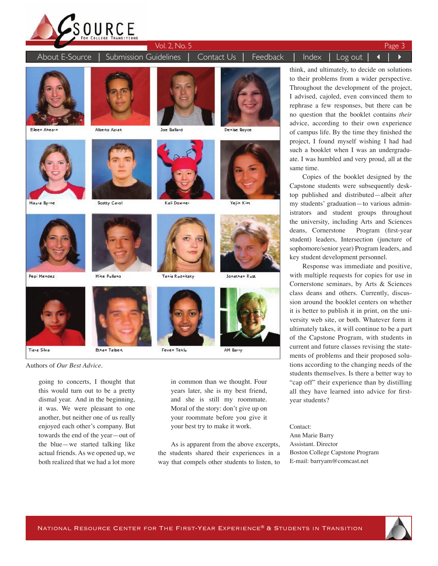

About E-Source │ Submission Guidelines │ Contact Us │ Feedback │ Index │ Log out │ 4



Eileen Ahearn

Pepi Mendez

Tiara Silva



Scotty Carol



**Mike Pulland** 

**Bhan Talbert** 





Kali Downer





Yelin Kim



Tania Rudnitsky



Feven Teklu



Authors of *Our Best Advice.*

going to concerts, I thought that this would turn out to be a pretty dismal year. And in the beginning, it was. We were pleasant to one another, but neither one of us really enjoyed each other's company. But towards the end of the year—out of the blue—we started talking like actual friends. As we opened up, we both realized that we had a lot more

in common than we thought. Four years later, she is my best friend, and she is still my roommate. Moral of the story: don't give up on your roommate before you give it your best try to make it work.

As is apparent from the above excerpts, the students shared their experiences in a way that compels other students to listen, to

think, and ultimately, to decide on solutions to their problems from a wider perspective. Throughout the development of the project, I advised, cajoled, even convinced them to rephrase a few responses, but there can be no question that the booklet contains *their* advice, according to their own experience of campus life. By the time they finished the project, I found myself wishing I had had such a booklet when I was an undergraduate. I was humbled and very proud, all at the same time.

Copies of the booklet designed by the Capstone students were subsequently desktop published and distributed—albeit after my students' graduation—to various administrators and student groups throughout the university, including Arts and Sciences deans, Cornerstone Program (first-year student) leaders, Intersection (juncture of sophomore/senior year) Program leaders, and key student development personnel.

Response was immediate and positive, with multiple requests for copies for use in Cornerstone seminars, by Arts & Sciences class deans and others. Currently, discussion around the booklet centers on whether it is better to publish it in print, on the university web site, or both. Whatever form it ultimately takes, it will continue to be a part of the Capstone Program, with students in current and future classes revising the statements of problems and their proposed solutions according to the changing needs of the students themselves. Is there a better way to "cap off" their experience than by distilling all they have learned into advice for firstyear students?

Contact: Ann Marie Barry Assistant. Director Boston College Capstone Program E-mail: barryam@comcast.net



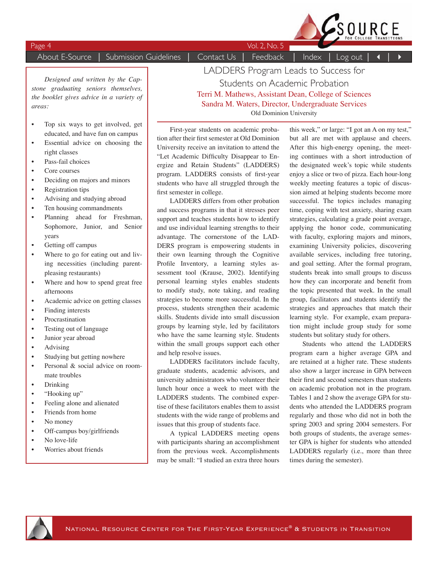About E-Source | Submission Guidelines | Contact Us | Feedback | Index | Log out | 4

Page 4 Vol. 2, No. 5

 $SouRCE$ 

*Designed and written by the Capstone graduating seniors themselves, the booklet gives advice in a variety of areas:*

- Top six ways to get involved, get educated, and have fun on campus
- Essential advice on choosing the right classes
- Pass-fail choices
- Core courses
- Deciding on majors and minors
- Registration tips
- Advising and studying abroad
- Ten housing commandments
- Planning ahead for Freshman, Sophomore, Junior, and Senior years
- Getting off campus
- Where to go for eating out and living necessities (including parentpleasing restaurants)
- Where and how to spend great free afternoons
- Academic advice on getting classes
- Finding interests
- Procrastination
- Testing out of language
- Junior year abroad
- Advising
- Studying but getting nowhere
- Personal & social advice on roommate troubles
- Drinking
- "Hooking up"
- Feeling alone and alienated
- Friends from home
- No money
- Off-campus boy/girlfriends
- No love-life
- Worries about friends

LADDERS Program Leads to Success for Students on Academic Probation Terri M. Mathews, Assistant Dean, College of Sciences Sandra M. Waters, Director, Undergraduate Services Old Dominion University

First-year students on academic probation after their first semester at Old Dominion University receive an invitation to attend the "Let Academic Difficulty Disappear to Energize and Retain Students" (LADDERS) program. LADDERS consists of first-year students who have all struggled through the first semester in college.

LADDERS differs from other probation and success programs in that it stresses peer support and teaches students how to identify and use individual learning strengths to their advantage. The cornerstone of the LAD-DERS program is empowering students in their own learning through the Cognitive Profile Inventory, a learning styles assessment tool (Krause, 2002). Identifying personal learning styles enables students to modify study, note taking, and reading strategies to become more successful. In the process, students strengthen their academic skills. Students divide into small discussion groups by learning style, led by facilitators who have the same learning style. Students within the small groups support each other and help resolve issues.

LADDERS facilitators include faculty, graduate students, academic advisors, and university administrators who volunteer their lunch hour once a week to meet with the LADDERS students. The combined expertise of these facilitators enables them to assist students with the wide range of problems and issues that this group of students face.

A typical LADDERS meeting opens with participants sharing an accomplishment from the previous week. Accomplishments may be small: "I studied an extra three hours

this week," or large: "I got an A on my test," but all are met with applause and cheers. After this high-energy opening, the meeting continues with a short introduction of the designated week's topic while students enjoy a slice or two of pizza. Each hour-long weekly meeting features a topic of discussion aimed at helping students become more successful. The topics includes managing time, coping with test anxiety, sharing exam strategies, calculating a grade point average, applying the honor code, communicating with faculty, exploring majors and minors, examining University policies, discovering available services, including free tutoring, and goal setting. After the formal program, students break into small groups to discuss how they can incorporate and benefit from the topic presented that week. In the small group, facilitators and students identify the strategies and approaches that match their learning style. For example, exam preparation might include group study for some students but solitary study for others.

Students who attend the LADDERS program earn a higher average GPA and are retained at a higher rate. These students also show a larger increase in GPA between their first and second semesters than students on academic probation not in the program. Tables 1 and 2 show the average GPA for students who attended the LADDERS program regularly and those who did not in both the spring 2003 and spring 2004 semesters. For both groups of students, the average semester GPA is higher for students who attended LADDERS regularly (i.e., more than three times during the semester).

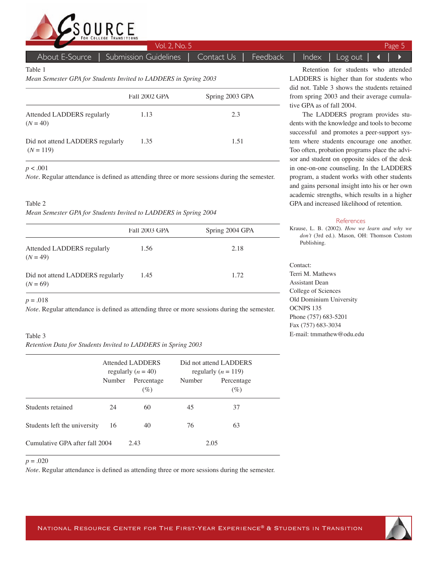

About E-Source | Submission Guidelines | Contact Us | Feedback | Index | Log out

Table 1

*Mean Semester GPA for Students Invited to LADDERS in Spring 2003*

|                                                 | Fall 2002 GPA | Spring 2003 GPA |
|-------------------------------------------------|---------------|-----------------|
| Attended LADDERS regularly<br>$(N = 40)$        | 1.13          | 2.3             |
| Did not attend LADDERS regularly<br>$(N = 119)$ | 1.35          | 1.51            |

*p* < .001

*Note*. Regular attendance is defined as attending three or more sessions during the semester.

#### Table 2

*Mean Semester GPA for Students Invited to LADDERS in Spring 2004* 

|                                                | <b>Fall 2003 GPA</b> | Spring 2004 GPA |
|------------------------------------------------|----------------------|-----------------|
| Attended LADDERS regularly<br>$(N = 49)$       | 1.56                 | 2.18            |
| Did not attend LADDERS regularly<br>$(N = 69)$ | 1.45                 | 1.72            |

#### $p = .018$

*Note.* Regular attendance is defined as attending three or more sessions during the semester.

#### Table 3

*Retention Data for Students Invited to LADDERS in Spring 2003*

|                                | Attended LADDERS<br>regularly $(n = 40)$ |                      |        | Did not attend LADDERS<br>regularly $(n = 119)$ |  |
|--------------------------------|------------------------------------------|----------------------|--------|-------------------------------------------------|--|
|                                | Number                                   | Percentage<br>$(\%)$ | Number | Percentage<br>$(\%)$                            |  |
| Students retained              | 24                                       | 60                   | 45     | 37                                              |  |
| Students left the university   | 16                                       | 40                   | 76     | 63                                              |  |
| Cumulative GPA after fall 2004 |                                          | 2.43                 | 2.05   |                                                 |  |

*p* = .020

*Note*. Regular attendance is defined as attending three or more sessions during the semester.

Retention for students who attended LADDERS is higher than for students who did not. Table 3 shows the students retained from spring 2003 and their average cumulative GPA as of fall 2004.

The LADDERS program provides students with the knowledge and tools to become successful and promotes a peer-support system where students encourage one another. Too often, probation programs place the advisor and student on opposite sides of the desk in one-on-one counseling. In the LADDERS program, a student works with other students and gains personal insight into his or her own academic strengths, which results in a higher GPA and increased likelihood of retention.

#### References

Krause, L. B. (2002). *How we learn and why we don't* (3rd ed.). Mason, OH: Thomson Custom Publishing.

Contact: Terri M. Mathews Assistant Dean College of Sciences Old Dominium University OCNPS 135 Phone (757) 683-5201 Fax (757) 683-3034 E-mail: tmmathew@odu.edu

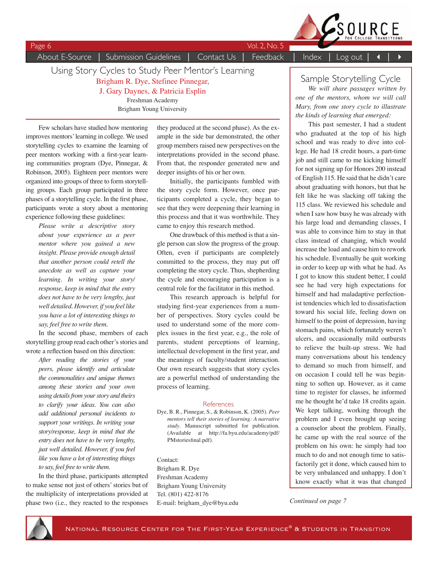

Page 6 Vol. 2, No. 5

About E-Source | Submission Guidelines | Contact Us | Feedback | Index | Log out

Using Story Cycles to Study Peer Mentor's Learning Brigham R. Dye, Stefinee Pinnegar, J. Gary Daynes, & Patricia Esplin Freshman Academy Brigham Young University

Few scholars have studied how mentoring improves mentors' learning in college. We used storytelling cycles to examine the learning of peer mentors working with a first-year learning communities program (Dye, Pinnegar, & Robinson, 2005). Eighteen peer mentors were organized into groups of three to form storytelling groups. Each group participated in three phases of a storytelling cycle. In the first phase, participants wrote a story about a mentoring experience following these guidelines:

> *Please write a descriptive story about your experience as a peer mentor where you gained a new insight. Please provide enough detail that another person could retell the anecdote as well as capture your learning. In writing your story/ response, keep in mind that the entry does not have to be very lengthy, just well detailed. However, if you feel like you have a lot of interesting things to say, feel free to write them.*

In the second phase, members of each storytelling group read each other's stories and wrote a reflection based on this direction:

*After reading the stories of your peers, please identify and articulate the commonalities and unique themes among these stories and your own using details from your story and theirs to clarify your ideas. You can also add additional personal incidents to support your writings. In writing your story/response, keep in mind that the entry does not have to be very lengthy, just well detailed. However, if you feel like you have a lot of interesting things to say, feel free to write them.*

In the third phase, participants attempted to make sense not just of others' stories but of the multiplicity of interpretations provided at phase two (i.e., they reacted to the responses they produced at the second phase). As the example in the side bar demonstrated, the other group members raised new perspectives on the interpretations provided in the second phase. From that, the responder generated new and deeper insights of his or her own.

Initially, the participants fumbled with the story cycle form. However, once participants completed a cycle, they began to see that they were deepening their learning in this process and that it was worthwhile. They came to enjoy this research method.

One drawback of this method is that a single person can slow the progress of the group. Often, even if participants are completely committed to the process, they may put off completing the story cycle. Thus, shepherding the cycle and encouraging participation is a central role for the facilitator in this method.

This research approach is helpful for studying first-year experiences from a number of perspectives. Story cycles could be used to understand some of the more complex issues in the first year, e.g., the role of parents, student perceptions of learning, intellectual development in the first year, and the meanings of faculty/student interaction. Our own research suggests that story cycles are a powerful method of understanding the process of learning.

#### References

Dye, B. R., Pinnegar, S., & Robinson, K. (2005). *Peer mentors tell their stories of learning: A narrative study*. Manuscript submitted for publication. (Available at http://fa.byu.edu/academy/pdf/ PMstoriesfinal.pdf).

#### Contact:

Brigham R. Dye Freshman Academy Brigham Young University Tel. (801) 422-8176 E-mail: brigham\_dye@byu.edu

## Sample Storytelling Cycle

*We will share passages written by one of the mentors, whom we will call Mary, from one story cycle to illustrate the kinds of learning that emerged:*

This past semester, I had a student who graduated at the top of his high school and was ready to dive into college. He had 18 credit hours, a part-time job and still came to me kicking himself for not signing up for Honors 200 instead of English 115. He said that he didn't care about graduating with honors, but that he felt like he was slacking off taking the 115 class. We reviewed his schedule and when I saw how busy he was already with his large load and demanding classes, I was able to convince him to stay in that class instead of changing, which would increase the load and cause him to rework his schedule. Eventually he quit working in order to keep up with what he had. As I got to know this student better, I could see he had very high expectations for himself and had maladaptive perfectionist tendencies which led to dissatisfaction toward his social life, feeling down on himself to the point of depression, having stomach pains, which fortunately weren't ulcers, and occasionally mild outbursts to relieve the built-up stress. We had many conversations about his tendency to demand so much from himself, and on occasion I could tell he was beginning to soften up. However, as it came time to register for classes, he informed me he thought he'd take 18 credits again. We kept talking, working through the problem and I even brought up seeing a counselor about the problem. Finally, he came up with the real source of the problem on his own: he simply had too much to do and not enough time to satisfactorily get it done, which caused him to be very unbalanced and unhappy. I don't know exactly what it was that changed

*Continued on page 7*

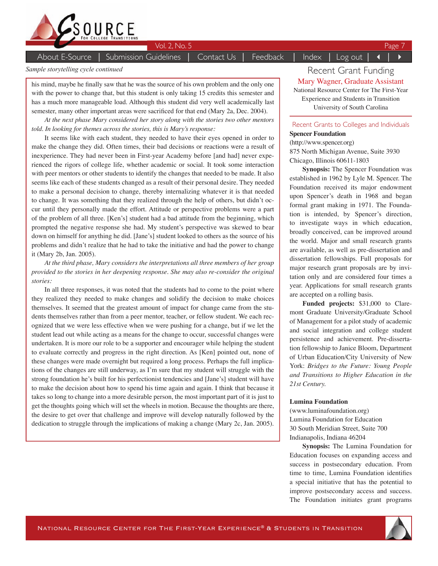

About E-Source | Submission Guidelines | Contact Us | Feedback | Index | Log out

#### *Sample storytelling cycle continued*

his mind, maybe he finally saw that he was the source of his own problem and the only one with the power to change that, but this student is only taking 15 credits this semester and has a much more manageable load. Although this student did very well academically last semester, many other important areas were sacrificed for that end (Mary 2a, Dec. 2004).

*At the next phase Mary considered her story along with the stories two other mentors told. In looking for themes across the stories, this is Mary's response:* 

It seems like with each student, they needed to have their eyes opened in order to make the change they did. Often times, their bad decisions or reactions were a result of inexperience. They had never been in First-year Academy before [and had] never experienced the rigors of college life, whether academic or social. It took some interaction with peer mentors or other students to identify the changes that needed to be made. It also seems like each of these students changed as a result of their personal desire. They needed to make a personal decision to change, thereby internalizing whatever it is that needed to change. It was something that they realized through the help of others, but didn't occur until they personally made the effort. Attitude or perspective problems were a part of the problem of all three. [Ken's] student had a bad attitude from the beginning, which prompted the negative response she had. My student's perspective was skewed to bear down on himself for anything he did. [Jane's] student looked to others as the source of his problems and didn't realize that he had to take the initiative and had the power to change it (Mary 2b, Jan. 2005).

*At the third phase, Mary considers the interpretations all three members of her group provided to the stories in her deepening response. She may also re-consider the original stories:* 

In all three responses, it was noted that the students had to come to the point where they realized they needed to make changes and solidify the decision to make choices themselves. It seemed that the greatest amount of impact for change came from the students themselves rather than from a peer mentor, teacher, or fellow student. We each recognized that we were less effective when we were pushing for a change, but if we let the student lead out while acting as a means for the change to occur, successful changes were undertaken. It is more our role to be a supporter and encourager while helping the student to evaluate correctly and progress in the right direction. As [Ken] pointed out, none of these changes were made overnight but required a long process. Perhaps the full implications of the changes are still underway, as I'm sure that my student will struggle with the strong foundation he's built for his perfectionist tendencies and [Jane's] student will have to make the decision about how to spend his time again and again. I think that because it takes so long to change into a more desirable person, the most important part of it is just to get the thoughts going which will set the wheels in motion. Because the thoughts are there, the desire to get over that challenge and improve will develop naturally followed by the dedication to struggle through the implications of making a change (Mary 2c, Jan. 2005).

Recent Grant Funding Mary Wagner, Graduate Assistant National Resource Center for The First-Year Experience and Students in Transition University of South Carolina

#### Recent Grants to Colleges and Individuals

#### **Spencer Foundation**

(http://www.spencer.org) 875 North Michigan Avenue, Suite 3930 Chicago, Illinois 60611-1803

**Synopsis:** The Spencer Foundation was established in 1962 by Lyle M. Spencer. The Foundation received its major endowment upon Spencer's death in 1968 and began formal grant making in 1971. The Foundation is intended, by Spencer's direction, to investigate ways in which education, broadly conceived, can be improved around the world. Major and small research grants are available, as well as pre-dissertation and dissertation fellowships. Full proposals for major research grant proposals are by invitation only and are considered four times a year. Applications for small research grants are accepted on a rolling basis.

**Funded projects:** \$31,000 to Claremont Graduate University/Graduate School of Management for a pilot study of academic and social integration and college student persistence and achievement. Pre-dissertation fellowship to Janice Bloom, Department of Urban Education/City University of New York: *Bridges to the Future: Young People and Transitions to Higher Education in the 21st Century.*

#### **Lumina Foundation**

(www.luminafoundation.org) Lumina Foundation for Education 30 South Meridian Street, Suite 700 Indianapolis, Indiana 46204

**Synopsis:** The Lumina Foundation for Education focuses on expanding access and success in postsecondary education. From time to time, Lumina Foundation identifies a special initiative that has the potential to improve postsecondary access and success. The Foundation initiates grant programs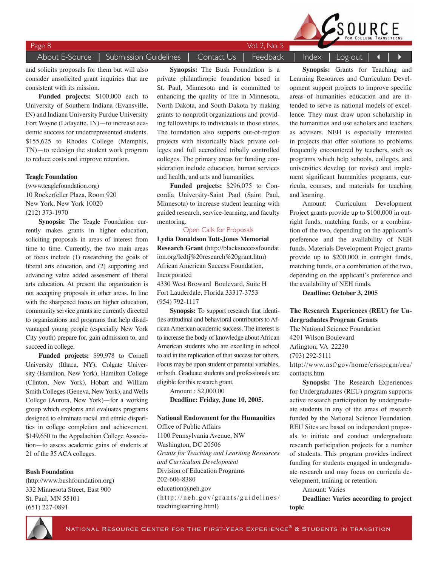#### About E-Source │ Submission Guidelines │ Contact Us │ Feedback │ Index │ Log out │ 4

Page 8 Vol. 2, No. 5

#### and solicits proposals for them but will also consider unsolicited grant inquiries that are consistent with its mission.

**Funded projects:** \$100,000 each to University of Southern Indiana (Evansville, IN) and Indiana University Purdue University Fort Wayne (Lafayette, IN)—to increase academic success for underrepresented students. \$155,625 to Rhodes College (Memphis, TN)—to redesign the student work program to reduce costs and improve retention.

#### **Teagle Foundation**

(www.teaglefoundation.org) 10 Rockerfeller Plaza, Room 920 New York, New York 10020 (212) 373-1970

**Synopsis:** The Teagle Foundation currently makes grants in higher education, soliciting proposals in areas of interest from time to time. Currently, the two main areas of focus include (1) researching the goals of liberal arts education, and (2) supporting and advancing value added assessment of liberal arts education. At present the organization is not accepting proposals in other areas. In line with the sharpened focus on higher education, community service grants are currently directed to organizations and programs that help disadvantaged young people (especially New York City youth) prepare for, gain admission to, and succeed in college.

**Funded projects:** \$99,978 to Cornell University (Ithaca, NY), Colgate University (Hamilton, New York), Hamilton College (Clinton, New York), Hobart and William Smith Colleges (Geneva, New York), and Wells College (Aurora, New York)—for a working group which explores and evaluates programs designed to eliminate racial and ethnic disparities in college completion and achievement. \$149,650 to the Appalachian College Association—to assess academic gains of students at 21 of the 35 ACA colleges.

#### **Bush Foundation**

(http://www.bushfoundation.org) 332 Minnesota Street, East 900 St. Paul, MN 55101 (651) 227-0891

**Synopsis:** The Bush Foundation is a private philanthropic foundation based in St. Paul, Minnesota and is committed to enhancing the quality of life in Minnesota, North Dakota, and South Dakota by making grants to nonprofit organizations and providing fellowships to individuals in those states. The foundation also supports out-of-region projects with historically black private colleges and full accredited tribally controlled colleges. The primary areas for funding consideration include education, human services and health, and arts and humanities.

**Funded projects:** \$296,075 to Concordia University-Saint Paul (Saint Paul, Minnesota) to increase student learning with guided research, service-learning, and faculty mentoring.

#### Open Calls for Proposals

**Lydia Donaldson Tutt-Jones Memorial Research Grant** (http://blacksuccessfoundat ion.org/lcdtj%20research%20grant.htm) African American Success Foundation, Incorporated

4330 West Broward Boulevard, Suite H Fort Lauderdale, Florida 33317-3753 (954) 792-1117

**Synopsis:** To support research that identifies attitudinal and behavioral contributors to African American academic success. The interest is to increase the body of knowledge about African American students who are excelling in school to aid in the replication of that success for others. Focus may be upon student or parental variables, or both. Graduate students and professionals are eligible for this research grant.

Amount : \$2,000.00 **Deadline: Friday, June 10, 2005.**

**National Endowment for the Humanities** Office of Public Affairs 1100 Pennsylvania Avenue, NW Washington, DC 20506 *Grants for Teaching and Learning Resources and Curriculum Development* Division of Education Programs 202-606-8380 education@neh.gov  $(http://neh.gov/grants/guidelines/$ teachinglearning.html)

**Synopsis:** Grants for Teaching and Learning Resources and Curriculum Development support projects to improve specific areas of humanities education and are intended to serve as national models of excellence. They must draw upon scholarship in the humanities and use scholars and teachers as advisers. NEH is especially interested in projects that offer solutions to problems frequently encountered by teachers, such as programs which help schools, colleges, and universities develop (or revise) and implement significant humanities programs, curricula, courses, and materials for teaching and learning.

Amount: Curriculum Development Project grants provide up to \$100,000 in outright funds, matching funds, or a combination of the two, depending on the applicant's preference and the availability of NEH funds. Materials Development Project grants provide up to \$200,000 in outright funds, matching funds, or a combination of the two, depending on the applicant's preference and the availability of NEH funds.

**Deadline: October 3, 2005**

### **The Research Experiences (REU) for Undergraduates Program Grants**

The National Science Foundation 4201 Wilson Boulevard Arlington, VA 22230 (703) 292-5111 http://www.nsf/gov/home/crssprgm/reu/ contacts.htm

**Synopsis:** The Research Experiences for Undergraduates (REU) program supports active research participation by undergraduate students in any of the areas of research funded by the National Science Foundation. REU Sites are based on independent proposals to initiate and conduct undergraduate research participation projects for a number of students. This program provides indirect funding for students engaged in undergraduate research and may focus on curricula development, training or retention.

Amount: Varies

**Deadline: Varies according to project topic**



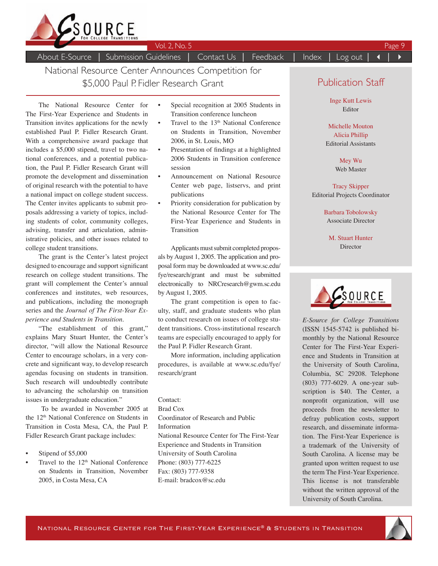

About E-Source | Submission Guidelines | Contact Us | Feedback | Index | Log out

National Resource Center Announces Competition for \$5,000 Paul P. Fidler Research Grant

The National Resource Center for The First-Year Experience and Students in Transition invites applications for the newly established Paul P. Fidler Research Grant. With a comprehensive award package that includes a \$5,000 stipend, travel to two national conferences, and a potential publication, the Paul P. Fidler Research Grant will promote the development and dissemination of original research with the potential to have a national impact on college student success. The Center invites applicants to submit proposals addressing a variety of topics, including students of color, community colleges, advising, transfer and articulation, administrative policies, and other issues related to college student transitions.

The grant is the Center's latest project designed to encourage and support significant research on college student transitions. The grant will complement the Center's annual conferences and institutes, web resources, and publications, including the monograph series and the *Journal of The First-Year Experience and Students in Transition.* 

"The establishment of this grant," explains Mary Stuart Hunter, the Center's director, "will allow the National Resource Center to encourage scholars, in a very concrete and significant way, to develop research agendas focusing on students in transition. Such research will undoubtedly contribute to advancing the scholarship on transition issues in undergraduate education."

 To be awarded in November 2005 at the 12th National Conference on Students in Transition in Costa Mesa, CA, the Paul P. Fidler Research Grant package includes:

- Stipend of \$5,000
- Travel to the  $12<sup>th</sup>$  National Conference on Students in Transition, November 2005, in Costa Mesa, CA
- Special recognition at 2005 Students in Transition conference luncheon
- Travel to the 13<sup>th</sup> National Conference on Students in Transition, November 2006, in St. Louis, MO
- Presentation of findings at a highlighted 2006 Students in Transition conference session
- Announcement on National Resource Center web page, listservs, and print publications
- Priority consideration for publication by the National Resource Center for The First-Year Experience and Students in Transition

Applicants must submit completed proposals by August 1, 2005. The application and proposal form may be downloaded at www.sc.edu/ fye/research/grant and must be submitted electronically to NRCresearch@gwm.sc.edu by August 1, 2005.

The grant competition is open to faculty, staff, and graduate students who plan to conduct research on issues of college student transitions. Cross-institutional research teams are especially encouraged to apply for the Paul P. Fidler Research Grant.

More information, including application procedures, is available at www.sc.edu/fye/ research/grant

Contact: Brad Cox Coordinator of Research and Public Information National Resource Center for The First-Year Experience and Students in Transition University of South Carolina Phone: (803) 777-6225 Fax: (803) 777-9358 E-mail: bradcox@sc.edu

## Publication Staff

Inge Kutt Lewis Editor

Michelle Mouton Alicia Phillip Editorial Assistants

> Mey Wu Web Master

Tracy Skipper Editorial Projects Coordinator

> Barbara Tobolowsky Associate Director

M. Stuart Hunter Director



*E-Source for College Transitions* (ISSN 1545-5742 is published bimonthly by the National Resource Center for The First-Year Experience and Students in Transition at the University of South Carolina, Columbia, SC 29208. Telephone (803) 777-6029. A one-year subscription is \$40. The Center, a nonprofit organization, will use proceeds from the newsletter to defray publication costs, support research, and disseminate information. The First-Year Experience is a trademark of the University of South Carolina. A license may be granted upon written request to use the term The First-Year Experience. This license is not transferable without the written approval of the University of South Carolina.